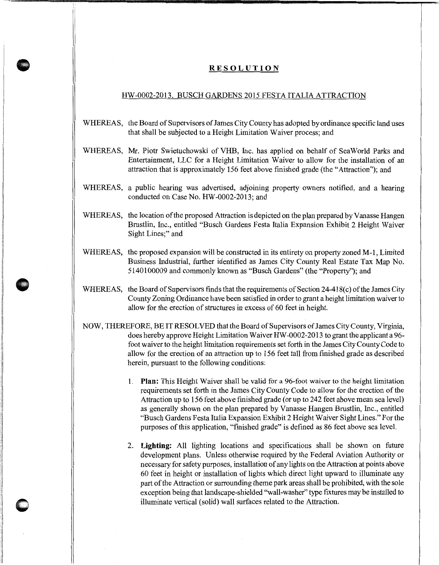## **RESOLUTION**

## HW-0002-2013. BUSCH GARDENS 2015 FESTA IT ALIA ATTRACTION

- WHEREAS, the Board of Supervisors of James City County has adopted by ordinance specific land uses that shall be subjected to a Height Limitation Waiver process; and
- WHEREAS, Mr. Piotr Swietuchowski of VHB, Inc. has applied on behalf of Sea World Parks and Entertainment, LLC for a Height Limitation Waiver to allow for the installation of an attraction that is approximately 156 feet above finished grade (the "Attraction"); and
- WHEREAS, a public hearing was advertised, adjoining property owners notified, and a hearing conducted on Case No. HW-0002-2013; and
- WHEREAS, the location of the proposed Attraction is depicted on the plan prepared by Vanasse Hangen Brustlin, Inc., entitled "Busch Gardens Festa Italia Expansion Exhibit 2 Height Waiver Sight Lines;" and
- WHEREAS, the proposed expansion will be constructed in its entirety on property zoned M-1, Limited Business Industrial, further identified as James City County Real Estate Tax Map No. 5140100009 and commonly known as "Busch Gardens" (the "Property"); and
- WHEREAS, the Board of Supervisors finds that the requirements of Section 24-418(c) of the James City County Zoning Ordinance have been satisfied in order to grant a height limitation waiver to allow for the erection of structures in excess of 60 feet in height.
- NOW, THEREFORE, BE IT RESOLVED that the Board of Supervisors of James City County, Virginia, does hereby approve Height Limitation Waiver HW -0002-2013 to grant the applicant a 96 foot waiver to the height limitation requirements set forth in the James City County Code to allow for the erection of an attraction up to 15 6 feet tall from finished grade as described herein, pursuant to the following conditions:
	- 1. **Plan:** This Height Waiver shall be valid for a 96-foot waiver to the height limitation requirements set forth in the James City County Code to allow for the erection of the Attraction up to 156 feet above finished grade (or up to 242 feet above mean sea level) as generally shown on the plan prepared by Vanasse Hangen Brustlin, Inc., entitled "Busch Gardens Festa Italia Expansion Exhibit 2 Height Waiver Sight Lines." For the purposes of this application, "finished grade" is defined as 86 feet above sea level.
	- 2. **Lighting:** All lighting locations and specifications shall be shown on future development plans. Unless otherwise required by the Federal Aviation Authority or necessary for safety purposes, installation of any lights on the Attraction at points above 60 feet in height or installation of lights which direct light upward to illuminate any part of the Attraction or surrounding theme park areas shall be prohibited, with the sole exception being that landscape-shielded "wall-washer" type fixtures may be installed to illuminate vertical (solid) wall surfaces related to the Attraction.